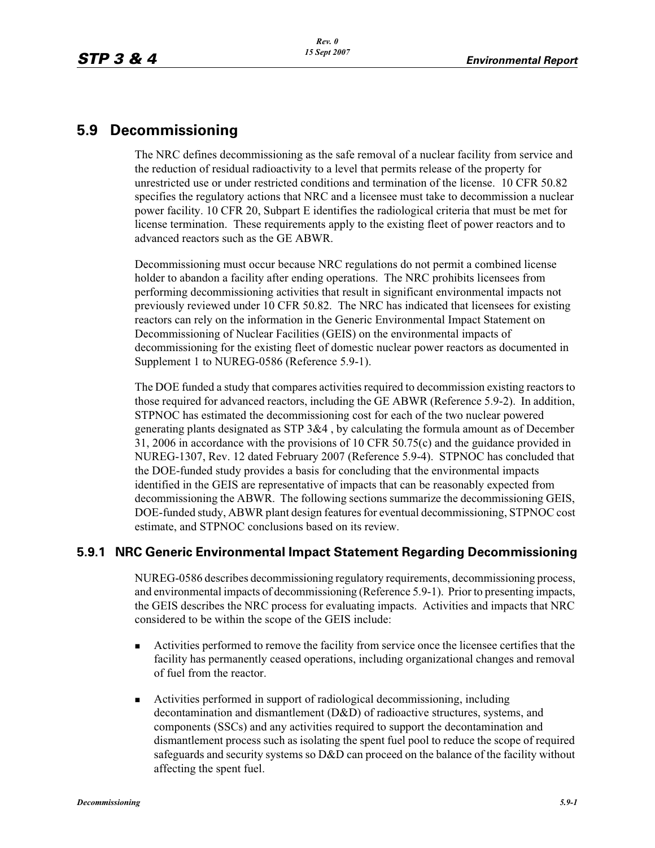# **5.9 Decommissioning**

The NRC defines decommissioning as the safe removal of a nuclear facility from service and the reduction of residual radioactivity to a level that permits release of the property for unrestricted use or under restricted conditions and termination of the license. 10 CFR 50.82 specifies the regulatory actions that NRC and a licensee must take to decommission a nuclear power facility. 10 CFR 20, Subpart E identifies the radiological criteria that must be met for license termination. These requirements apply to the existing fleet of power reactors and to advanced reactors such as the GE ABWR.

Decommissioning must occur because NRC regulations do not permit a combined license holder to abandon a facility after ending operations. The NRC prohibits licensees from performing decommissioning activities that result in significant environmental impacts not previously reviewed under 10 CFR 50.82. The NRC has indicated that licensees for existing reactors can rely on the information in the Generic Environmental Impact Statement on Decommissioning of Nuclear Facilities (GEIS) on the environmental impacts of decommissioning for the existing fleet of domestic nuclear power reactors as documented in Supplement 1 to NUREG-0586 (Reference 5.9-1).

The DOE funded a study that compares activities required to decommission existing reactors to those required for advanced reactors, including the GE ABWR (Reference 5.9-2). In addition, STPNOC has estimated the decommissioning cost for each of the two nuclear powered generating plants designated as STP 3&4 , by calculating the formula amount as of December 31, 2006 in accordance with the provisions of 10 CFR 50.75(c) and the guidance provided in NUREG-1307, Rev. 12 dated February 2007 (Reference 5.9-4). STPNOC has concluded that the DOE-funded study provides a basis for concluding that the environmental impacts identified in the GEIS are representative of impacts that can be reasonably expected from decommissioning the ABWR. The following sections summarize the decommissioning GEIS, DOE-funded study, ABWR plant design features for eventual decommissioning, STPNOC cost estimate, and STPNOC conclusions based on its review.

## **5.9.1 NRC Generic Environmental Impact Statement Regarding Decommissioning**

NUREG-0586 describes decommissioning regulatory requirements, decommissioning process, and environmental impacts of decommissioning (Reference 5.9-1). Prior to presenting impacts, the GEIS describes the NRC process for evaluating impacts. Activities and impacts that NRC considered to be within the scope of the GEIS include:

- - Activities performed to remove the facility from service once the licensee certifies that the facility has permanently ceased operations, including organizational changes and removal of fuel from the reactor.
- - Activities performed in support of radiological decommissioning, including decontamination and dismantlement (D&D) of radioactive structures, systems, and components (SSCs) and any activities required to support the decontamination and dismantlement process such as isolating the spent fuel pool to reduce the scope of required safeguards and security systems so D&D can proceed on the balance of the facility without affecting the spent fuel.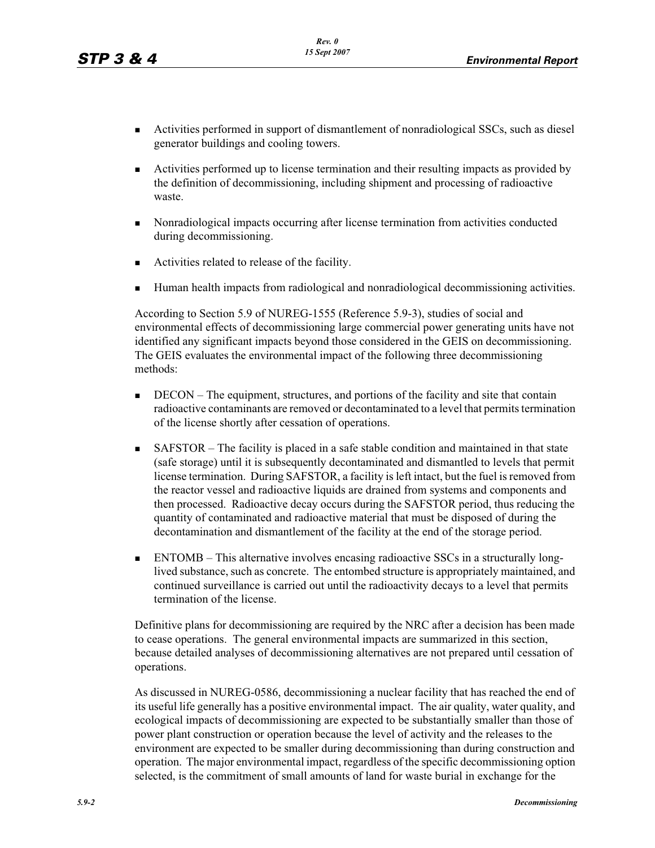- - Activities performed in support of dismantlement of nonradiological SSCs, such as diesel generator buildings and cooling towers.
- **EXECUTE:** Activities performed up to license termination and their resulting impacts as provided by the definition of decommissioning, including shipment and processing of radioactive waste.
- - Nonradiological impacts occurring after license termination from activities conducted during decommissioning.
- -Activities related to release of the facility.
- -Human health impacts from radiological and nonradiological decommissioning activities.

According to Section 5.9 of NUREG-1555 (Reference 5.9-3), studies of social and environmental effects of decommissioning large commercial power generating units have not identified any significant impacts beyond those considered in the GEIS on decommissioning. The GEIS evaluates the environmental impact of the following three decommissioning methods:

- - DECON – The equipment, structures, and portions of the facility and site that contain radioactive contaminants are removed or decontaminated to a level that permits termination of the license shortly after cessation of operations.
- - SAFSTOR – The facility is placed in a safe stable condition and maintained in that state (safe storage) until it is subsequently decontaminated and dismantled to levels that permit license termination. During SAFSTOR, a facility is left intact, but the fuel is removed from the reactor vessel and radioactive liquids are drained from systems and components and then processed. Radioactive decay occurs during the SAFSTOR period, thus reducing the quantity of contaminated and radioactive material that must be disposed of during the decontamination and dismantlement of the facility at the end of the storage period.
- - ENTOMB – This alternative involves encasing radioactive SSCs in a structurally longlived substance, such as concrete. The entombed structure is appropriately maintained, and continued surveillance is carried out until the radioactivity decays to a level that permits termination of the license.

Definitive plans for decommissioning are required by the NRC after a decision has been made to cease operations. The general environmental impacts are summarized in this section, because detailed analyses of decommissioning alternatives are not prepared until cessation of operations.

As discussed in NUREG-0586, decommissioning a nuclear facility that has reached the end of its useful life generally has a positive environmental impact. The air quality, water quality, and ecological impacts of decommissioning are expected to be substantially smaller than those of power plant construction or operation because the level of activity and the releases to the environment are expected to be smaller during decommissioning than during construction and operation. The major environmental impact, regardless of the specific decommissioning option selected, is the commitment of small amounts of land for waste burial in exchange for the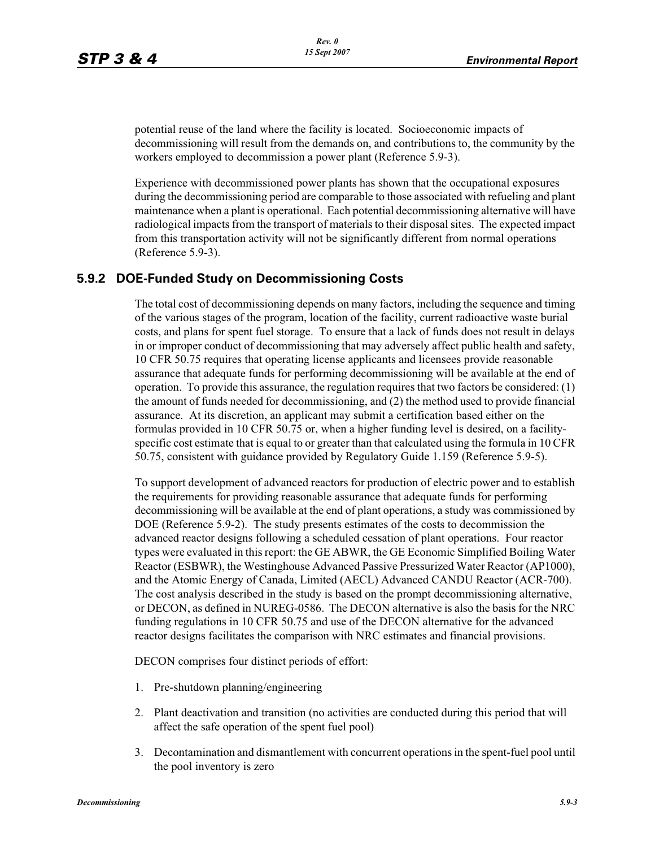potential reuse of the land where the facility is located. Socioeconomic impacts of decommissioning will result from the demands on, and contributions to, the community by the workers employed to decommission a power plant (Reference 5.9-3).

Experience with decommissioned power plants has shown that the occupational exposures during the decommissioning period are comparable to those associated with refueling and plant maintenance when a plant is operational. Each potential decommissioning alternative will have radiological impacts from the transport of materials to their disposal sites. The expected impact from this transportation activity will not be significantly different from normal operations (Reference 5.9-3).

### **5.9.2 DOE-Funded Study on Decommissioning Costs**

The total cost of decommissioning depends on many factors, including the sequence and timing of the various stages of the program, location of the facility, current radioactive waste burial costs, and plans for spent fuel storage. To ensure that a lack of funds does not result in delays in or improper conduct of decommissioning that may adversely affect public health and safety, 10 CFR 50.75 requires that operating license applicants and licensees provide reasonable assurance that adequate funds for performing decommissioning will be available at the end of operation. To provide this assurance, the regulation requires that two factors be considered: (1) the amount of funds needed for decommissioning, and (2) the method used to provide financial assurance. At its discretion, an applicant may submit a certification based either on the formulas provided in 10 CFR 50.75 or, when a higher funding level is desired, on a facilityspecific cost estimate that is equal to or greater than that calculated using the formula in 10 CFR 50.75, consistent with guidance provided by Regulatory Guide 1.159 (Reference 5.9-5).

To support development of advanced reactors for production of electric power and to establish the requirements for providing reasonable assurance that adequate funds for performing decommissioning will be available at the end of plant operations, a study was commissioned by DOE (Reference 5.9-2). The study presents estimates of the costs to decommission the advanced reactor designs following a scheduled cessation of plant operations. Four reactor types were evaluated in this report: the GE ABWR, the GE Economic Simplified Boiling Water Reactor (ESBWR), the Westinghouse Advanced Passive Pressurized Water Reactor (AP1000), and the Atomic Energy of Canada, Limited (AECL) Advanced CANDU Reactor (ACR-700). The cost analysis described in the study is based on the prompt decommissioning alternative, or DECON, as defined in NUREG-0586. The DECON alternative is also the basis for the NRC funding regulations in 10 CFR 50.75 and use of the DECON alternative for the advanced reactor designs facilitates the comparison with NRC estimates and financial provisions.

DECON comprises four distinct periods of effort:

- 1. Pre-shutdown planning/engineering
- 2. Plant deactivation and transition (no activities are conducted during this period that will affect the safe operation of the spent fuel pool)
- 3. Decontamination and dismantlement with concurrent operations in the spent-fuel pool until the pool inventory is zero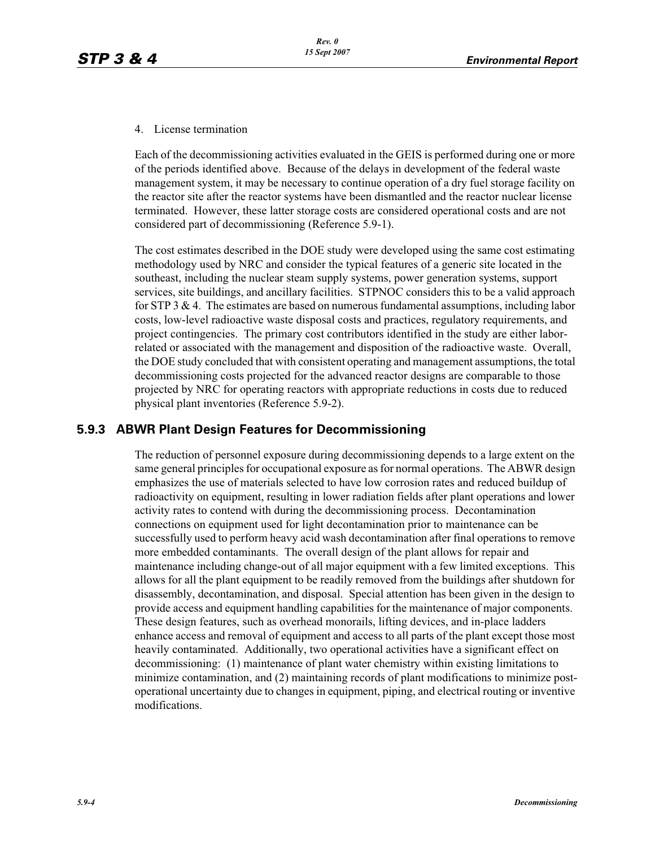#### 4. License termination

Each of the decommissioning activities evaluated in the GEIS is performed during one or more of the periods identified above. Because of the delays in development of the federal waste management system, it may be necessary to continue operation of a dry fuel storage facility on the reactor site after the reactor systems have been dismantled and the reactor nuclear license terminated. However, these latter storage costs are considered operational costs and are not considered part of decommissioning (Reference 5.9-1).

The cost estimates described in the DOE study were developed using the same cost estimating methodology used by NRC and consider the typical features of a generic site located in the southeast, including the nuclear steam supply systems, power generation systems, support services, site buildings, and ancillary facilities. STPNOC considers this to be a valid approach for STP 3  $\&$  4. The estimates are based on numerous fundamental assumptions, including labor costs, low-level radioactive waste disposal costs and practices, regulatory requirements, and project contingencies. The primary cost contributors identified in the study are either laborrelated or associated with the management and disposition of the radioactive waste. Overall, the DOE study concluded that with consistent operating and management assumptions, the total decommissioning costs projected for the advanced reactor designs are comparable to those projected by NRC for operating reactors with appropriate reductions in costs due to reduced physical plant inventories (Reference 5.9-2).

# **5.9.3 ABWR Plant Design Features for Decommissioning**

The reduction of personnel exposure during decommissioning depends to a large extent on the same general principles for occupational exposure as for normal operations. The ABWR design emphasizes the use of materials selected to have low corrosion rates and reduced buildup of radioactivity on equipment, resulting in lower radiation fields after plant operations and lower activity rates to contend with during the decommissioning process. Decontamination connections on equipment used for light decontamination prior to maintenance can be successfully used to perform heavy acid wash decontamination after final operations to remove more embedded contaminants. The overall design of the plant allows for repair and maintenance including change-out of all major equipment with a few limited exceptions. This allows for all the plant equipment to be readily removed from the buildings after shutdown for disassembly, decontamination, and disposal. Special attention has been given in the design to provide access and equipment handling capabilities for the maintenance of major components. These design features, such as overhead monorails, lifting devices, and in-place ladders enhance access and removal of equipment and access to all parts of the plant except those most heavily contaminated. Additionally, two operational activities have a significant effect on decommissioning: (1) maintenance of plant water chemistry within existing limitations to minimize contamination, and (2) maintaining records of plant modifications to minimize postoperational uncertainty due to changes in equipment, piping, and electrical routing or inventive modifications.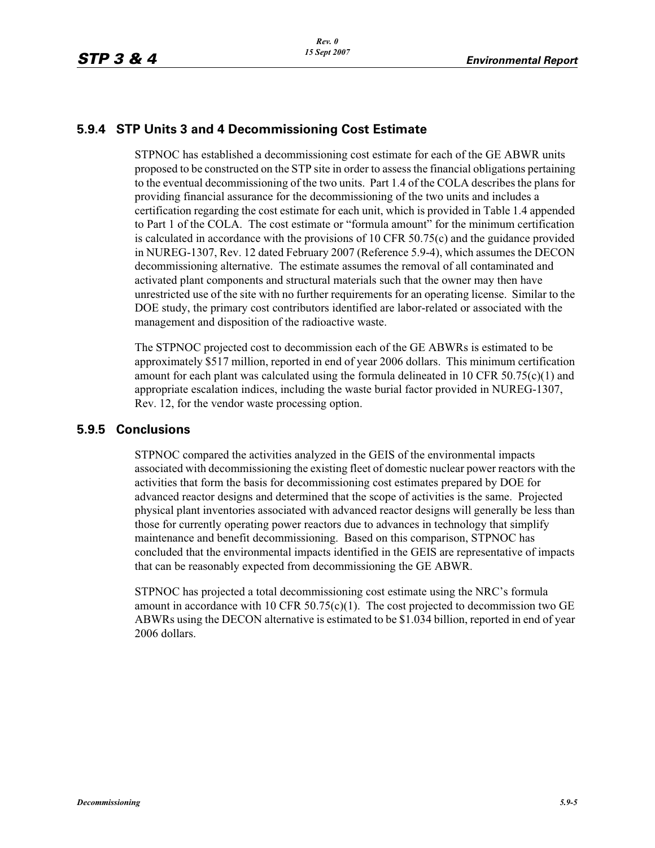## **5.9.4 STP Units 3 and 4 Decommissioning Cost Estimate**

STPNOC has established a decommissioning cost estimate for each of the GE ABWR units proposed to be constructed on the STP site in order to assess the financial obligations pertaining to the eventual decommissioning of the two units. Part 1.4 of the COLA describes the plans for providing financial assurance for the decommissioning of the two units and includes a certification regarding the cost estimate for each unit, which is provided in Table 1.4 appended to Part 1 of the COLA. The cost estimate or "formula amount" for the minimum certification is calculated in accordance with the provisions of 10 CFR  $50.75(c)$  and the guidance provided in NUREG-1307, Rev. 12 dated February 2007 (Reference 5.9-4), which assumes the DECON decommissioning alternative. The estimate assumes the removal of all contaminated and activated plant components and structural materials such that the owner may then have unrestricted use of the site with no further requirements for an operating license. Similar to the DOE study, the primary cost contributors identified are labor-related or associated with the management and disposition of the radioactive waste.

The STPNOC projected cost to decommission each of the GE ABWRs is estimated to be approximately \$517 million, reported in end of year 2006 dollars. This minimum certification amount for each plant was calculated using the formula delineated in 10 CFR  $50.75(c)(1)$  and appropriate escalation indices, including the waste burial factor provided in NUREG-1307, Rev. 12, for the vendor waste processing option.

#### **5.9.5 Conclusions**

STPNOC compared the activities analyzed in the GEIS of the environmental impacts associated with decommissioning the existing fleet of domestic nuclear power reactors with the activities that form the basis for decommissioning cost estimates prepared by DOE for advanced reactor designs and determined that the scope of activities is the same. Projected physical plant inventories associated with advanced reactor designs will generally be less than those for currently operating power reactors due to advances in technology that simplify maintenance and benefit decommissioning. Based on this comparison, STPNOC has concluded that the environmental impacts identified in the GEIS are representative of impacts that can be reasonably expected from decommissioning the GE ABWR.

STPNOC has projected a total decommissioning cost estimate using the NRC's formula amount in accordance with 10 CFR  $50.75(c)(1)$ . The cost projected to decommission two GE ABWRs using the DECON alternative is estimated to be \$1.034 billion, reported in end of year 2006 dollars.